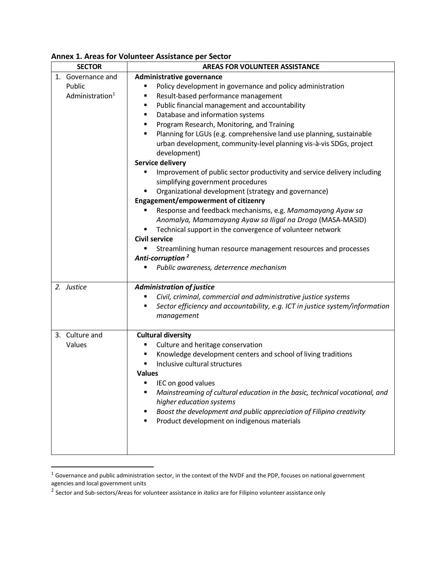| <b>SECTOR</b>                                              | <b>AREAS FOR VOLUNTEER ASSISTANCE</b>                                                                                                                                                                                                                                                                                                                                                                                                                                                                                                                                                                                                                                                                                                                                                                                                                                                                                                                                                                                                                         |
|------------------------------------------------------------|---------------------------------------------------------------------------------------------------------------------------------------------------------------------------------------------------------------------------------------------------------------------------------------------------------------------------------------------------------------------------------------------------------------------------------------------------------------------------------------------------------------------------------------------------------------------------------------------------------------------------------------------------------------------------------------------------------------------------------------------------------------------------------------------------------------------------------------------------------------------------------------------------------------------------------------------------------------------------------------------------------------------------------------------------------------|
| 1. Governance and<br>Public<br>Administration <sup>1</sup> | Administrative governance<br>Policy development in governance and policy administration<br>п<br>Result-based performance management<br>Public financial management and accountability<br>٠<br>Database and information systems<br>Program Research, Monitoring, and Training<br>Planning for LGUs (e.g. comprehensive land use planning, sustainable<br>urban development, community-level planning vis-à-vis SDGs, project<br>development)<br><b>Service delivery</b><br>Improvement of public sector productivity and service delivery including<br>simplifying government procedures<br>Organizational development (strategy and governance)<br><b>Engagement/empowerment of citizenry</b><br>Response and feedback mechanisms, e.g. Mamamayang Ayaw sa<br>Anomalya, Mamamayang Ayaw sa Iligal na Droga (MASA-MASID)<br>Technical support in the convergence of volunteer network<br><b>Civil service</b><br>Streamlining human resource management resources and processes<br>Anti-corruption <sup>2</sup><br>Public awareness, deterrence mechanism<br>п |
| 2. Justice                                                 | <b>Administration of justice</b><br>Civil, criminal, commercial and administrative justice systems<br>Sector efficiency and accountability, e.g. ICT in justice system/information<br>п<br>management                                                                                                                                                                                                                                                                                                                                                                                                                                                                                                                                                                                                                                                                                                                                                                                                                                                         |
| 3. Culture and<br>Values                                   | <b>Cultural diversity</b><br>Culture and heritage conservation<br>Knowledge development centers and school of living traditions<br>Inclusive cultural structures<br><b>Values</b><br>IEC on good values<br>Mainstreaming of cultural education in the basic, technical vocational, and<br>higher education systems<br>Boost the development and public appreciation of Filipino creativity<br>Product development on indigenous materials                                                                                                                                                                                                                                                                                                                                                                                                                                                                                                                                                                                                                     |

## **Annex 1. Areas for Volunteer Assistance per Sector**

l

 $^1$  Governance and public administration sector, in the context of the NVDF and the PDP, focuses on national government agencies and local government units

<sup>2</sup> Sector and Sub-sectors/Areas for volunteer assistance in *italics* are for Filipino volunteer assistance only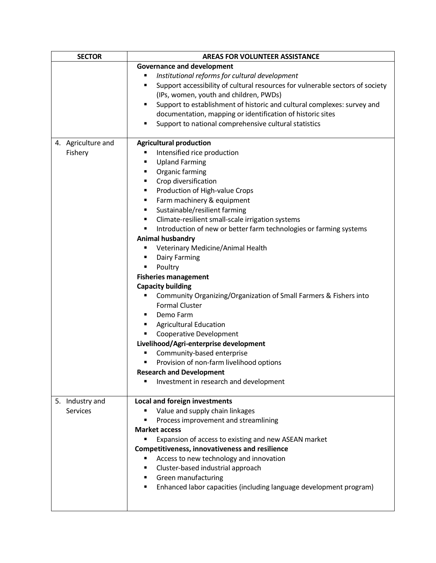| <b>SECTOR</b>      | <b>AREAS FOR VOLUNTEER ASSISTANCE</b>                                                           |
|--------------------|-------------------------------------------------------------------------------------------------|
|                    | <b>Governance and development</b>                                                               |
|                    | Institutional reforms for cultural development<br>٠                                             |
|                    | Support accessibility of cultural resources for vulnerable sectors of society<br>$\blacksquare$ |
|                    | (IPs, women, youth and children, PWDs)                                                          |
|                    | Support to establishment of historic and cultural complexes: survey and<br>$\blacksquare$       |
|                    | documentation, mapping or identification of historic sites                                      |
|                    | Support to national comprehensive cultural statistics<br>٠                                      |
|                    |                                                                                                 |
| 4. Agriculture and | <b>Agricultural production</b>                                                                  |
| Fishery            | Intensified rice production<br>٠                                                                |
|                    | <b>Upland Farming</b><br>٠                                                                      |
|                    | Organic farming<br>٠                                                                            |
|                    | Crop diversification<br>٠                                                                       |
|                    | Production of High-value Crops<br>٠                                                             |
|                    | Farm machinery & equipment<br>٠                                                                 |
|                    | Sustainable/resilient farming<br>٠                                                              |
|                    | Climate-resilient small-scale irrigation systems<br>٠                                           |
|                    | Introduction of new or better farm technologies or farming systems<br>$\blacksquare$            |
|                    |                                                                                                 |
|                    | Animal husbandry                                                                                |
|                    | Veterinary Medicine/Animal Health<br>п                                                          |
|                    | Dairy Farming<br>٠                                                                              |
|                    | Poultry<br>٠                                                                                    |
|                    | <b>Fisheries management</b>                                                                     |
|                    | <b>Capacity building</b>                                                                        |
|                    | Community Organizing/Organization of Small Farmers & Fishers into<br>п                          |
|                    | <b>Formal Cluster</b>                                                                           |
|                    | Demo Farm<br>٠                                                                                  |
|                    | <b>Agricultural Education</b><br>٠                                                              |
|                    | Cooperative Development<br>Ξ                                                                    |
|                    | Livelihood/Agri-enterprise development                                                          |
|                    | Community-based enterprise<br>п                                                                 |
|                    | Provision of non-farm livelihood options<br>$\blacksquare$                                      |
|                    | <b>Research and Development</b>                                                                 |
|                    | Investment in research and development<br>$\blacksquare$                                        |
|                    |                                                                                                 |
| 5. Industry and    | Local and foreign investments                                                                   |
| Services           | Value and supply chain linkages                                                                 |
|                    | Process improvement and streamlining                                                            |
|                    | <b>Market access</b>                                                                            |
|                    | Expansion of access to existing and new ASEAN market<br>٠                                       |
|                    | <b>Competitiveness, innovativeness and resilience</b>                                           |
|                    | Access to new technology and innovation<br>٠                                                    |
|                    | Cluster-based industrial approach<br>٠                                                          |
|                    | Green manufacturing<br>٠                                                                        |
|                    | Enhanced labor capacities (including language development program)<br>٠                         |
|                    |                                                                                                 |
|                    |                                                                                                 |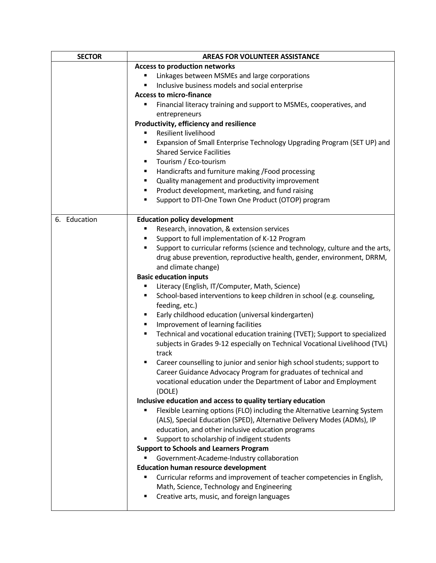| <b>SECTOR</b> | <b>AREAS FOR VOLUNTEER ASSISTANCE</b>                                                                                                     |
|---------------|-------------------------------------------------------------------------------------------------------------------------------------------|
|               | <b>Access to production networks</b>                                                                                                      |
|               | Linkages between MSMEs and large corporations                                                                                             |
|               | Inclusive business models and social enterprise<br>٠                                                                                      |
|               | <b>Access to micro-finance</b>                                                                                                            |
|               | Financial literacy training and support to MSMEs, cooperatives, and<br>п                                                                  |
|               | entrepreneurs                                                                                                                             |
|               | Productivity, efficiency and resilience                                                                                                   |
|               | Resilient livelihood                                                                                                                      |
|               | Expansion of Small Enterprise Technology Upgrading Program (SET UP) and<br>٠                                                              |
|               | <b>Shared Service Facilities</b>                                                                                                          |
|               | Tourism / Eco-tourism<br>٠                                                                                                                |
|               | Handicrafts and furniture making /Food processing<br>٠                                                                                    |
|               | Quality management and productivity improvement<br>٠                                                                                      |
|               | Product development, marketing, and fund raising<br>٠                                                                                     |
|               | Support to DTI-One Town One Product (OTOP) program<br>٠                                                                                   |
|               |                                                                                                                                           |
| 6. Education  | <b>Education policy development</b>                                                                                                       |
|               | Research, innovation, & extension services<br>п                                                                                           |
|               | Support to full implementation of K-12 Program<br>٠                                                                                       |
|               | Support to curricular reforms (science and technology, culture and the arts,<br>٠                                                         |
|               | drug abuse prevention, reproductive health, gender, environment, DRRM,                                                                    |
|               | and climate change)                                                                                                                       |
|               | <b>Basic education inputs</b>                                                                                                             |
|               | Literacy (English, IT/Computer, Math, Science)<br>٠                                                                                       |
|               | School-based interventions to keep children in school (e.g. counseling,<br>٠                                                              |
|               | feeding, etc.)                                                                                                                            |
|               | Early childhood education (universal kindergarten)<br>٠                                                                                   |
|               | Improvement of learning facilities<br>٠                                                                                                   |
|               | Technical and vocational education training (TVET); Support to specialized<br>٠                                                           |
|               | subjects in Grades 9-12 especially on Technical Vocational Livelihood (TVL)                                                               |
|               | track                                                                                                                                     |
|               | Career counselling to junior and senior high school students; support to<br>٠                                                             |
|               | Career Guidance Advocacy Program for graduates of technical and                                                                           |
|               | vocational education under the Department of Labor and Employment                                                                         |
|               | (DOLE)                                                                                                                                    |
|               | Inclusive education and access to quality tertiary education<br>Flexible Learning options (FLO) including the Alternative Learning System |
|               | (ALS), Special Education (SPED), Alternative Delivery Modes (ADMs), IP                                                                    |
|               | education, and other inclusive education programs                                                                                         |
|               | Support to scholarship of indigent students<br>٠                                                                                          |
|               | <b>Support to Schools and Learners Program</b>                                                                                            |
|               | Government-Academe-Industry collaboration                                                                                                 |
|               | <b>Education human resource development</b>                                                                                               |
|               | Curricular reforms and improvement of teacher competencies in English,<br>п                                                               |
|               | Math, Science, Technology and Engineering                                                                                                 |
|               | Creative arts, music, and foreign languages<br>٠                                                                                          |
|               |                                                                                                                                           |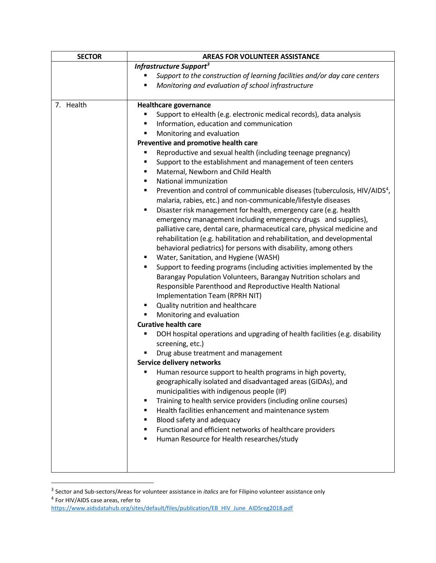| <b>SECTOR</b> | <b>AREAS FOR VOLUNTEER ASSISTANCE</b>                                                       |
|---------------|---------------------------------------------------------------------------------------------|
|               | Infrastructure Support <sup>3</sup>                                                         |
|               | Support to the construction of learning facilities and/or day care centers                  |
|               | Monitoring and evaluation of school infrastructure<br>٠                                     |
| 7. Health     | <b>Healthcare governance</b>                                                                |
|               | Support to eHealth (e.g. electronic medical records), data analysis                         |
|               | Information, education and communication<br>٠                                               |
|               | Monitoring and evaluation<br>п                                                              |
|               | Preventive and promotive health care                                                        |
|               | Reproductive and sexual health (including teenage pregnancy)<br>٠                           |
|               | Support to the establishment and management of teen centers<br>٠                            |
|               | Maternal, Newborn and Child Health<br>٠                                                     |
|               | National immunization<br>٠                                                                  |
|               | Prevention and control of communicable diseases (tuberculosis, HIV/AIDS <sup>4</sup> ,<br>٠ |
|               | malaria, rabies, etc.) and non-communicable/lifestyle diseases                              |
|               | Disaster risk management for health, emergency care (e.g. health<br>٠                       |
|               | emergency management including emergency drugs and supplies),                               |
|               | palliative care, dental care, pharmaceutical care, physical medicine and                    |
|               | rehabilitation (e.g. habilitation and rehabilitation, and developmental                     |
|               | behavioral pediatrics) for persons with disability, among others                            |
|               | Water, Sanitation, and Hygiene (WASH)<br>٠                                                  |
|               | Support to feeding programs (including activities implemented by the<br>٠                   |
|               | Barangay Population Volunteers, Barangay Nutrition scholars and                             |
|               | Responsible Parenthood and Reproductive Health National                                     |
|               | Implementation Team (RPRH NIT)                                                              |
|               | Quality nutrition and healthcare<br>٠                                                       |
|               | Monitoring and evaluation<br>٠                                                              |
|               | <b>Curative health care</b>                                                                 |
|               | DOH hospital operations and upgrading of health facilities (e.g. disability<br>п            |
|               | screening, etc.)                                                                            |
|               | Drug abuse treatment and management                                                         |
|               | Service delivery networks                                                                   |
|               | Human resource support to health programs in high poverty,                                  |
|               | geographically isolated and disadvantaged areas (GIDAs), and                                |
|               | municipalities with indigenous people (IP)                                                  |
|               | Training to health service providers (including online courses)<br>٠                        |
|               | Health facilities enhancement and maintenance system<br>٠                                   |
|               | Blood safety and adequacy                                                                   |
|               | Functional and efficient networks of healthcare providers<br>٠                              |
|               | Human Resource for Health researches/study                                                  |
|               |                                                                                             |
|               |                                                                                             |
|               |                                                                                             |

 3 Sector and Sub-sectors/Areas for volunteer assistance in *italics* are for Filipino volunteer assistance only 4 For HIV/AIDS case areas, refer to

[https://www.aidsdatahub.org/sites/default/files/publication/EB\\_HIV\\_June\\_AIDSreg2018.pdf](https://www.aidsdatahub.org/sites/default/files/publication/EB_HIV_June_AIDSreg2018.pdf)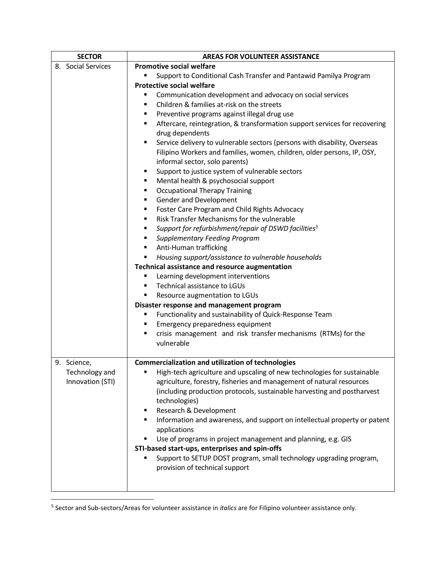| <b>SECTOR</b>      | <b>AREAS FOR VOLUNTEER ASSISTANCE</b>                                                              |
|--------------------|----------------------------------------------------------------------------------------------------|
| 8. Social Services | <b>Promotive social welfare</b>                                                                    |
|                    | Support to Conditional Cash Transfer and Pantawid Pamilya Program<br>٠                             |
|                    | <b>Protective social welfare</b>                                                                   |
|                    | Communication development and advocacy on social services<br>٠                                     |
|                    | Children & families at-risk on the streets<br>٠                                                    |
|                    | Preventive programs against illegal drug use<br>٠                                                  |
|                    | Aftercare, reintegration, & transformation support services for recovering<br>٠<br>drug dependents |
|                    | Service delivery to vulnerable sectors (persons with disability, Overseas<br>٠                     |
|                    | Filipino Workers and families, women, children, older persons, IP, OSY,                            |
|                    | informal sector, solo parents)                                                                     |
|                    | Support to justice system of vulnerable sectors<br>٠                                               |
|                    | Mental health & psychosocial support<br>٠                                                          |
|                    | <b>Occupational Therapy Training</b><br>٠                                                          |
|                    | Gender and Development<br>٠                                                                        |
|                    | Foster Care Program and Child Rights Advocacy<br>٠                                                 |
|                    | Risk Transfer Mechanisms for the vulnerable<br>٠                                                   |
|                    | Support for refurbishment/repair of DSWD facilities <sup>5</sup><br>٠                              |
|                    | <b>Supplementary Feeding Program</b><br>٠                                                          |
|                    | Anti-Human trafficking<br>٠                                                                        |
|                    | Housing support/assistance to vulnerable households<br>٠                                           |
|                    | Technical assistance and resource augmentation                                                     |
|                    | Learning development interventions<br>٠<br>Technical assistance to LGUs<br>٠                       |
|                    | ٠                                                                                                  |
|                    | Resource augmentation to LGUs<br>Disaster response and management program                          |
|                    | Functionality and sustainability of Quick-Response Team<br>٠                                       |
|                    | Emergency preparedness equipment<br>٠                                                              |
|                    | crisis management and risk transfer mechanisms (RTMs) for the<br>٠                                 |
|                    | vulnerable                                                                                         |
|                    |                                                                                                    |
| 9. Science,        | <b>Commercialization and utilization of technologies</b>                                           |
| Technology and     | High-tech agriculture and upscaling of new technologies for sustainable<br>٠                       |
| Innovation (STI)   | agriculture, forestry, fisheries and management of natural resources                               |
|                    | (including production protocols, sustainable harvesting and postharvest                            |
|                    | technologies)                                                                                      |
|                    | Research & Development<br>٠                                                                        |
|                    | Information and awareness, and support on intellectual property or patent<br>٠                     |
|                    | applications                                                                                       |
|                    | Use of programs in project management and planning, e.g. GIS<br>٠                                  |
|                    | STI-based start-ups, enterprises and spin-offs                                                     |
|                    | Support to SETUP DOST program, small technology upgrading program,<br>п                            |
|                    | provision of technical support                                                                     |
|                    |                                                                                                    |
|                    |                                                                                                    |
|                    |                                                                                                    |

 5 Sector and Sub-sectors/Areas for volunteer assistance in *italics* are for Filipino volunteer assistance only.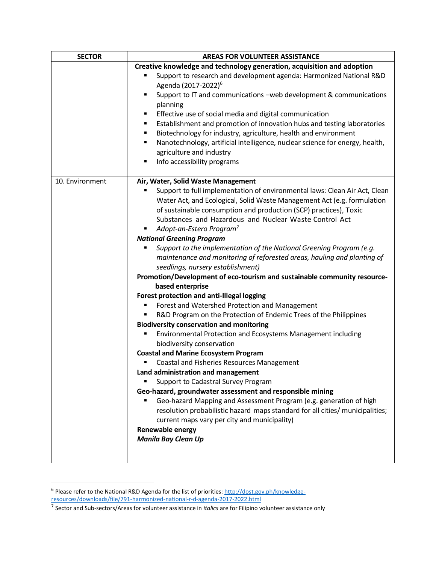| <b>SECTOR</b>   | <b>AREAS FOR VOLUNTEER ASSISTANCE</b>                                                                         |
|-----------------|---------------------------------------------------------------------------------------------------------------|
|                 | Creative knowledge and technology generation, acquisition and adoption                                        |
|                 | Support to research and development agenda: Harmonized National R&D<br>Agenda (2017-2022) <sup>6</sup>        |
|                 | Support to IT and communications -web development & communications<br>п                                       |
|                 | planning                                                                                                      |
|                 | Effective use of social media and digital communication                                                       |
|                 | Establishment and promotion of innovation hubs and testing laboratories<br>٠                                  |
|                 | Biotechnology for industry, agriculture, health and environment<br>п                                          |
|                 | Nanotechnology, artificial intelligence, nuclear science for energy, health,<br>٠                             |
|                 | agriculture and industry                                                                                      |
|                 | Info accessibility programs<br>П                                                                              |
| 10. Environment | Air, Water, Solid Waste Management                                                                            |
|                 | Support to full implementation of environmental laws: Clean Air Act, Clean                                    |
|                 | Water Act, and Ecological, Solid Waste Management Act (e.g. formulation                                       |
|                 | of sustainable consumption and production (SCP) practices), Toxic                                             |
|                 | Substances and Hazardous and Nuclear Waste Control Act                                                        |
|                 | Adopt-an-Estero Program <sup>7</sup>                                                                          |
|                 | <b>National Greening Program</b>                                                                              |
|                 | Support to the implementation of the National Greening Program (e.g.                                          |
|                 | maintenance and monitoring of reforested areas, hauling and planting of                                       |
|                 | seedlings, nursery establishment)<br>Promotion/Development of eco-tourism and sustainable community resource- |
|                 | based enterprise                                                                                              |
|                 | Forest protection and anti-Illegal logging                                                                    |
|                 | Forest and Watershed Protection and Management                                                                |
|                 | R&D Program on the Protection of Endemic Trees of the Philippines                                             |
|                 | <b>Biodiversity conservation and monitoring</b>                                                               |
|                 | Environmental Protection and Ecosystems Management including                                                  |
|                 | biodiversity conservation                                                                                     |
|                 | <b>Coastal and Marine Ecosystem Program</b>                                                                   |
|                 | Coastal and Fisheries Resources Management                                                                    |
|                 | Land administration and management                                                                            |
|                 | Support to Cadastral Survey Program                                                                           |
|                 | Geo-hazard, groundwater assessment and responsible mining                                                     |
|                 | Geo-hazard Mapping and Assessment Program (e.g. generation of high                                            |
|                 | resolution probabilistic hazard maps standard for all cities/ municipalities;                                 |
|                 | current maps vary per city and municipality)                                                                  |
|                 | Renewable energy                                                                                              |
|                 | <b>Manila Bay Clean Up</b>                                                                                    |
|                 |                                                                                                               |

ended by the Sease refer to the National R&D Agenda for the list of priorities: http://dost.gov.ph/knowledge-<br><sup>6</sup> Please refer to the National R&D Agenda for the list of priorities: <u>http://dost.gov.ph/knowledge</u>[resources/downloads/file/791-harmonized-national-r-d-agenda-2017-2022.html](http://dost.gov.ph/knowledge-resources/downloads/file/791-harmonized-national-r-d-agenda-2017-2022.html)

<sup>7</sup> Sector and Sub-sectors/Areas for volunteer assistance in *italics* are for Filipino volunteer assistance only